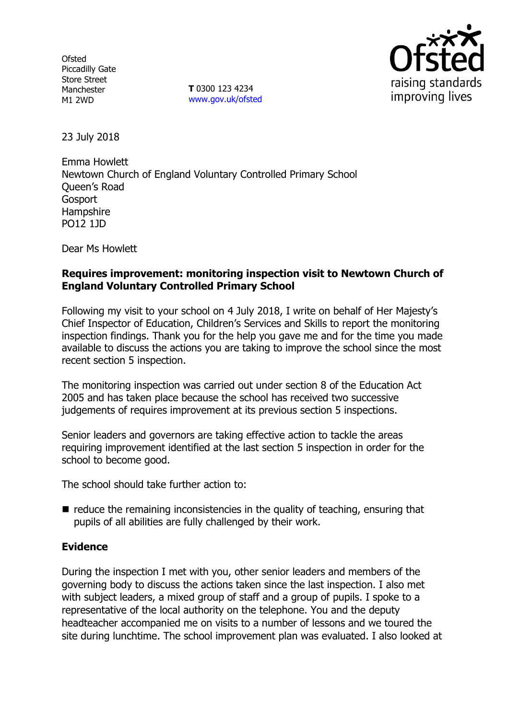**Ofsted** Piccadilly Gate Store Street Manchester M1 2WD

**T** 0300 123 4234 www.gov.uk/ofsted



23 July 2018

Emma Howlett Newtown Church of England Voluntary Controlled Primary School Queen's Road Gosport **Hampshire** PO12 1JD

Dear Ms Howlett

## **Requires improvement: monitoring inspection visit to Newtown Church of England Voluntary Controlled Primary School**

Following my visit to your school on 4 July 2018, I write on behalf of Her Majesty's Chief Inspector of Education, Children's Services and Skills to report the monitoring inspection findings. Thank you for the help you gave me and for the time you made available to discuss the actions you are taking to improve the school since the most recent section 5 inspection.

The monitoring inspection was carried out under section 8 of the Education Act 2005 and has taken place because the school has received two successive judgements of requires improvement at its previous section 5 inspections.

Senior leaders and governors are taking effective action to tackle the areas requiring improvement identified at the last section 5 inspection in order for the school to become good.

The school should take further action to:

 $\blacksquare$  reduce the remaining inconsistencies in the quality of teaching, ensuring that pupils of all abilities are fully challenged by their work.

## **Evidence**

During the inspection I met with you, other senior leaders and members of the governing body to discuss the actions taken since the last inspection. I also met with subject leaders, a mixed group of staff and a group of pupils. I spoke to a representative of the local authority on the telephone. You and the deputy headteacher accompanied me on visits to a number of lessons and we toured the site during lunchtime. The school improvement plan was evaluated. I also looked at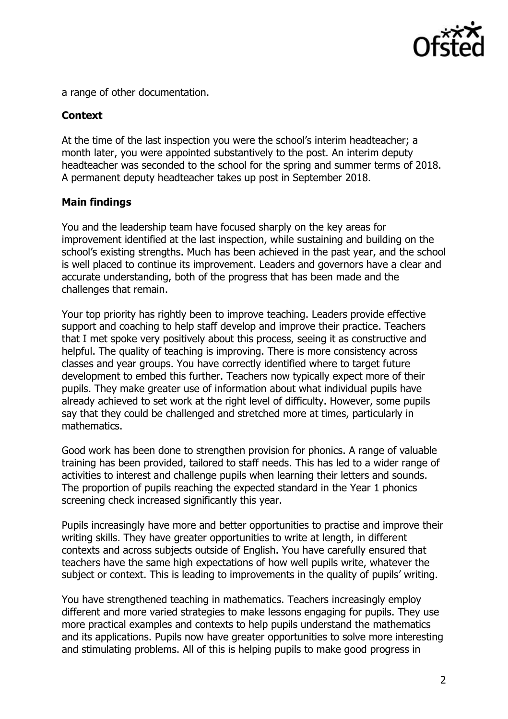

a range of other documentation.

### **Context**

At the time of the last inspection you were the school's interim headteacher; a month later, you were appointed substantively to the post. An interim deputy headteacher was seconded to the school for the spring and summer terms of 2018. A permanent deputy headteacher takes up post in September 2018.

#### **Main findings**

You and the leadership team have focused sharply on the key areas for improvement identified at the last inspection, while sustaining and building on the school's existing strengths. Much has been achieved in the past year, and the school is well placed to continue its improvement. Leaders and governors have a clear and accurate understanding, both of the progress that has been made and the challenges that remain.

Your top priority has rightly been to improve teaching. Leaders provide effective support and coaching to help staff develop and improve their practice. Teachers that I met spoke very positively about this process, seeing it as constructive and helpful. The quality of teaching is improving. There is more consistency across classes and year groups. You have correctly identified where to target future development to embed this further. Teachers now typically expect more of their pupils. They make greater use of information about what individual pupils have already achieved to set work at the right level of difficulty. However, some pupils say that they could be challenged and stretched more at times, particularly in mathematics.

Good work has been done to strengthen provision for phonics. A range of valuable training has been provided, tailored to staff needs. This has led to a wider range of activities to interest and challenge pupils when learning their letters and sounds. The proportion of pupils reaching the expected standard in the Year 1 phonics screening check increased significantly this year.

Pupils increasingly have more and better opportunities to practise and improve their writing skills. They have greater opportunities to write at length, in different contexts and across subjects outside of English. You have carefully ensured that teachers have the same high expectations of how well pupils write, whatever the subject or context. This is leading to improvements in the quality of pupils' writing.

You have strengthened teaching in mathematics. Teachers increasingly employ different and more varied strategies to make lessons engaging for pupils. They use more practical examples and contexts to help pupils understand the mathematics and its applications. Pupils now have greater opportunities to solve more interesting and stimulating problems. All of this is helping pupils to make good progress in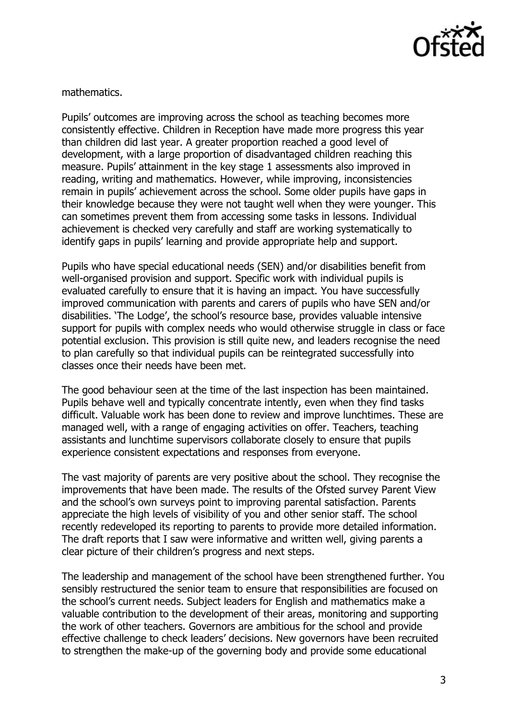

mathematics.

Pupils' outcomes are improving across the school as teaching becomes more consistently effective. Children in Reception have made more progress this year than children did last year. A greater proportion reached a good level of development, with a large proportion of disadvantaged children reaching this measure. Pupils' attainment in the key stage 1 assessments also improved in reading, writing and mathematics. However, while improving, inconsistencies remain in pupils' achievement across the school. Some older pupils have gaps in their knowledge because they were not taught well when they were younger. This can sometimes prevent them from accessing some tasks in lessons. Individual achievement is checked very carefully and staff are working systematically to identify gaps in pupils' learning and provide appropriate help and support.

Pupils who have special educational needs (SEN) and/or disabilities benefit from well-organised provision and support. Specific work with individual pupils is evaluated carefully to ensure that it is having an impact. You have successfully improved communication with parents and carers of pupils who have SEN and/or disabilities. 'The Lodge', the school's resource base, provides valuable intensive support for pupils with complex needs who would otherwise struggle in class or face potential exclusion. This provision is still quite new, and leaders recognise the need to plan carefully so that individual pupils can be reintegrated successfully into classes once their needs have been met.

The good behaviour seen at the time of the last inspection has been maintained. Pupils behave well and typically concentrate intently, even when they find tasks difficult. Valuable work has been done to review and improve lunchtimes. These are managed well, with a range of engaging activities on offer. Teachers, teaching assistants and lunchtime supervisors collaborate closely to ensure that pupils experience consistent expectations and responses from everyone.

The vast majority of parents are very positive about the school. They recognise the improvements that have been made. The results of the Ofsted survey Parent View and the school's own surveys point to improving parental satisfaction. Parents appreciate the high levels of visibility of you and other senior staff. The school recently redeveloped its reporting to parents to provide more detailed information. The draft reports that I saw were informative and written well, giving parents a clear picture of their children's progress and next steps.

The leadership and management of the school have been strengthened further. You sensibly restructured the senior team to ensure that responsibilities are focused on the school's current needs. Subject leaders for English and mathematics make a valuable contribution to the development of their areas, monitoring and supporting the work of other teachers. Governors are ambitious for the school and provide effective challenge to check leaders' decisions. New governors have been recruited to strengthen the make-up of the governing body and provide some educational